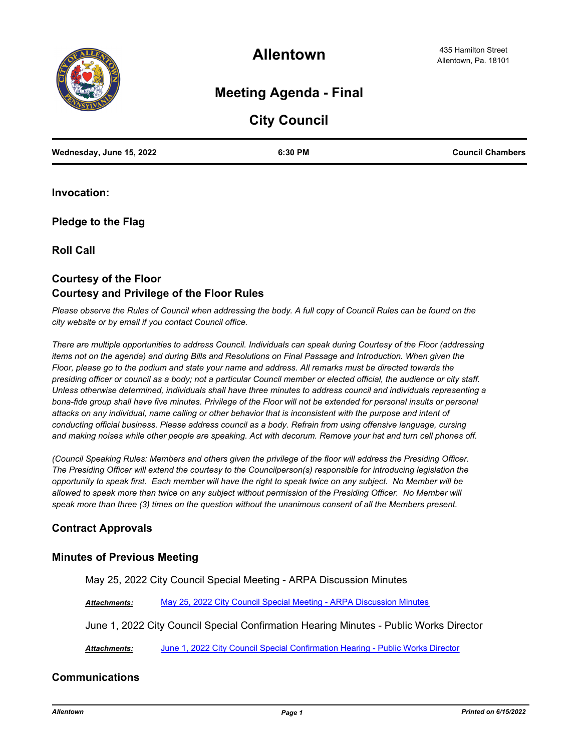

**Allentown**

# **Meeting Agenda - Final**

# **City Council**

| Wednesday, June 15, 2022 | 6:30 PM | <b>Council Chambers</b> |
|--------------------------|---------|-------------------------|
|                          |         |                         |

**Invocation:**

**Pledge to the Flag**

**Roll Call**

# **Courtesy of the Floor Courtesy and Privilege of the Floor Rules**

*Please observe the Rules of Council when addressing the body. A full copy of Council Rules can be found on the city website or by email if you contact Council office.* 

*There are multiple opportunities to address Council. Individuals can speak during Courtesy of the Floor (addressing items not on the agenda) and during Bills and Resolutions on Final Passage and Introduction. When given the Floor, please go to the podium and state your name and address. All remarks must be directed towards the presiding officer or council as a body; not a particular Council member or elected official, the audience or city staff. Unless otherwise determined, individuals shall have three minutes to address council and individuals representing a*  bona-fide group shall have five minutes. Privilege of the Floor will not be extended for personal insults or personal *attacks on any individual, name calling or other behavior that is inconsistent with the purpose and intent of conducting official business. Please address council as a body. Refrain from using offensive language, cursing and making noises while other people are speaking. Act with decorum. Remove your hat and turn cell phones off.* 

*(Council Speaking Rules: Members and others given the privilege of the floor will address the Presiding Officer. The Presiding Officer will extend the courtesy to the Councilperson(s) responsible for introducing legislation the opportunity to speak first. Each member will have the right to speak twice on any subject. No Member will be*  allowed to speak more than twice on any subject without permission of the Presiding Officer. No Member will *speak more than three (3) times on the question without the unanimous consent of all the Members present.*

## **Contract Approvals**

#### **Minutes of Previous Meeting**

May 25, 2022 City Council Special Meeting - ARPA Discussion Minutes

*Attachments:* [May 25, 2022 City Council Special Meeting - ARPA Discussion Minutes](http://allentownpa.legistar.com/gateway.aspx?M=F&ID=df0571b4-7056-42f1-a645-684a2c3638e9.pdf)

June 1, 2022 City Council Special Confirmation Hearing Minutes - Public Works Director

*Attachments:* [June 1, 2022 City Council Special Confirmation Hearing - Public Works Director](http://allentownpa.legistar.com/gateway.aspx?M=F&ID=b4ca81c3-1d5c-48d2-b27e-e51f481104eb.pdf)

## **Communications**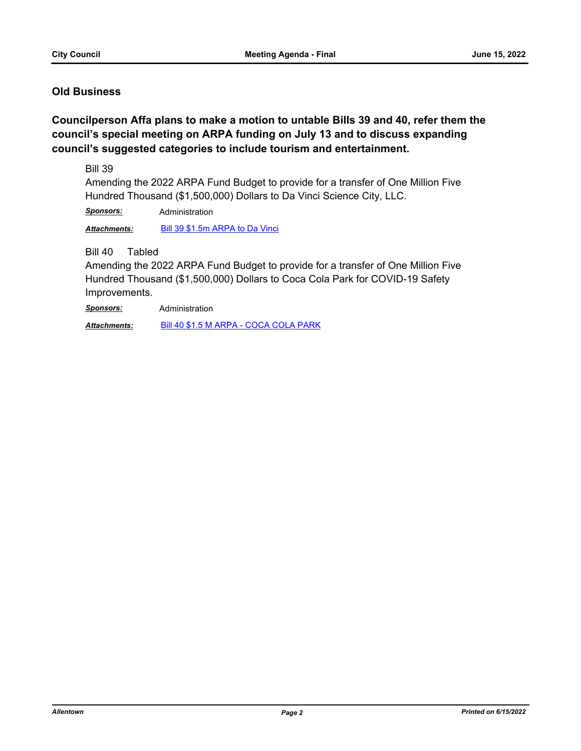## **Old Business**

**Councilperson Affa plans to make a motion to untable Bills 39 and 40, refer them the council's special meeting on ARPA funding on July 13 and to discuss expanding council's suggested categories to include tourism and entertainment.**

Bill 39

Amending the 2022 ARPA Fund Budget to provide for a transfer of One Million Five Hundred Thousand (\$1,500,000) Dollars to Da Vinci Science City, LLC.

*Sponsors:* Administration

*Attachments:* [Bill 39 \\$1.5m ARPA to Da Vinci](http://allentownpa.legistar.com/gateway.aspx?M=F&ID=ea963b67-91a2-403e-8352-fa6c5f824137.doc)

Bill 40 Tabled

Amending the 2022 ARPA Fund Budget to provide for a transfer of One Million Five Hundred Thousand (\$1,500,000) Dollars to Coca Cola Park for COVID-19 Safety Improvements.

*Sponsors:* Administration

*Attachments:* [Bill 40 \\$1.5 M ARPA - COCA COLA PARK](http://allentownpa.legistar.com/gateway.aspx?M=F&ID=de82e62f-90f6-416c-8561-d904afddbf62.doc)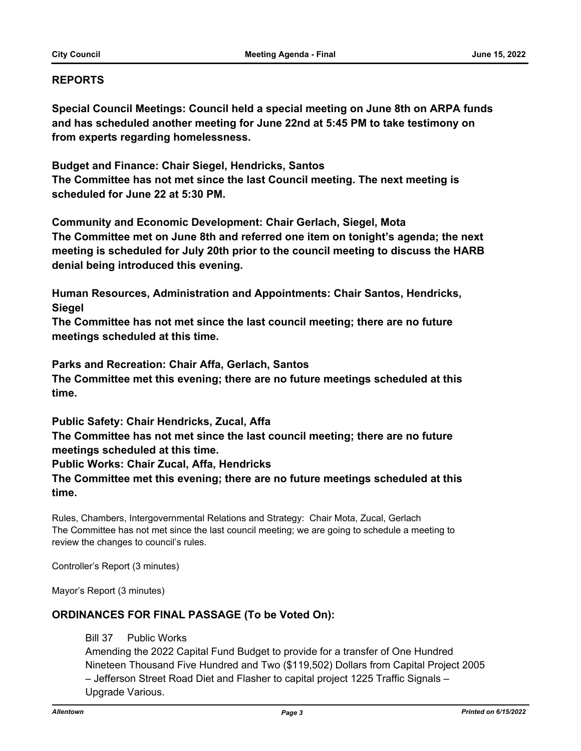### **REPORTS**

**Special Council Meetings: Council held a special meeting on June 8th on ARPA funds and has scheduled another meeting for June 22nd at 5:45 PM to take testimony on from experts regarding homelessness.** 

**Budget and Finance: Chair Siegel, Hendricks, Santos The Committee has not met since the last Council meeting. The next meeting is scheduled for June 22 at 5:30 PM.**

**Community and Economic Development: Chair Gerlach, Siegel, Mota The Committee met on June 8th and referred one item on tonight's agenda; the next meeting is scheduled for July 20th prior to the council meeting to discuss the HARB denial being introduced this evening.** 

**Human Resources, Administration and Appointments: Chair Santos, Hendricks, Siegel**

**The Committee has not met since the last council meeting; there are no future meetings scheduled at this time.** 

**Parks and Recreation: Chair Affa, Gerlach, Santos The Committee met this evening; there are no future meetings scheduled at this time.**

**Public Safety: Chair Hendricks, Zucal, Affa** 

**The Committee has not met since the last council meeting; there are no future meetings scheduled at this time.** 

**Public Works: Chair Zucal, Affa, Hendricks** 

**The Committee met this evening; there are no future meetings scheduled at this time.**

Rules, Chambers, Intergovernmental Relations and Strategy: Chair Mota, Zucal, Gerlach The Committee has not met since the last council meeting; we are going to schedule a meeting to review the changes to council's rules.

Controller's Report (3 minutes)

Mayor's Report (3 minutes)

## **ORDINANCES FOR FINAL PASSAGE (To be Voted On):**

Bill 37 Public Works

Amending the 2022 Capital Fund Budget to provide for a transfer of One Hundred Nineteen Thousand Five Hundred and Two (\$119,502) Dollars from Capital Project 2005 – Jefferson Street Road Diet and Flasher to capital project 1225 Traffic Signals – Upgrade Various.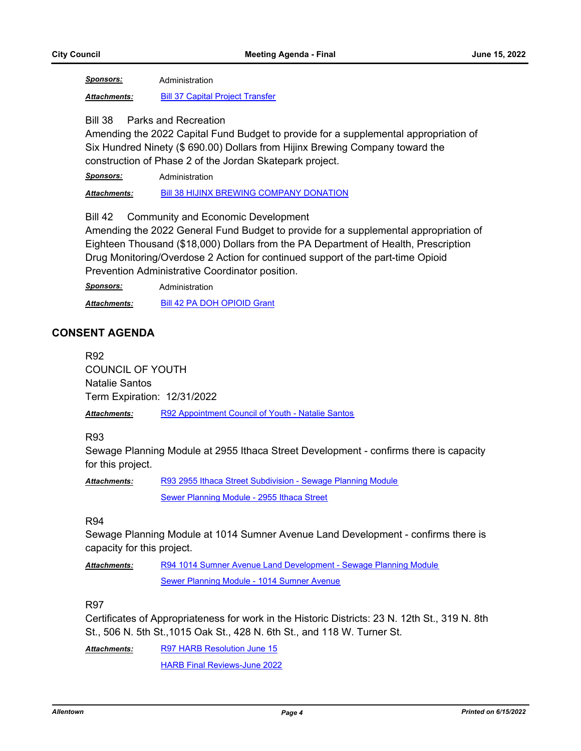*Sponsors:* Administration

*Attachments:* [Bill 37 Capital Project Transfer](http://allentownpa.legistar.com/gateway.aspx?M=F&ID=d359fd63-833a-4bf4-81df-c6d98aa005ee.doc)

#### Bill 38 Parks and Recreation

Amending the 2022 Capital Fund Budget to provide for a supplemental appropriation of Six Hundred Ninety (\$ 690.00) Dollars from Hijinx Brewing Company toward the construction of Phase 2 of the Jordan Skatepark project.

*Sponsors:* Administration

Attachments: [Bill 38 HIJINX BREWING COMPANY DONATION](http://allentownpa.legistar.com/gateway.aspx?M=F&ID=f87278ca-e74e-4f78-a02f-0c0cf5576905.rtf)

Bill 42 Community and Economic Development

Amending the 2022 General Fund Budget to provide for a supplemental appropriation of Eighteen Thousand (\$18,000) Dollars from the PA Department of Health, Prescription Drug Monitoring/Overdose 2 Action for continued support of the part-time Opioid Prevention Administrative Coordinator position.

*Sponsors:* Administration

*Attachments:* [Bill 42 PA DOH OPIOID Grant](http://allentownpa.legistar.com/gateway.aspx?M=F&ID=15634d37-d814-42b2-bf57-85ec790ee1ab.docx)

## **CONSENT AGENDA**

R92 COUNCIL OF YOUTH Natalie Santos Term Expiration: 12/31/2022

*Attachments:* [R92 Appointment Council of Youth - Natalie Santos](http://allentownpa.legistar.com/gateway.aspx?M=F&ID=67f53dfc-5159-41e6-9b52-815dbf490a42.doc)

#### R93

Sewage Planning Module at 2955 Ithaca Street Development - confirms there is capacity for this project.

[R93 2955 Ithaca Street Subdivision - Sewage Planning Module](http://allentownpa.legistar.com/gateway.aspx?M=F&ID=982bf9bc-44dc-4d27-964e-bcd2c7346704.doc) [Sewer Planning Module - 2955 Ithaca Street](http://allentownpa.legistar.com/gateway.aspx?M=F&ID=d100521b-7764-4e2c-a385-8e27e3ffa213.pdf) *Attachments:*

#### R94

Sewage Planning Module at 1014 Sumner Avenue Land Development - confirms there is capacity for this project.

[R94 1014 Sumner Avenue Land Development - Sewage Planning Module](http://allentownpa.legistar.com/gateway.aspx?M=F&ID=28dddc9d-828f-4f88-90f9-f3947c963bb8.doc) [Sewer Planning Module - 1014 Sumner Avenue](http://allentownpa.legistar.com/gateway.aspx?M=F&ID=99345334-8f6a-4ff7-9943-1e3a150dae45.pdf) *Attachments:*

### R97

Certificates of Appropriateness for work in the Historic Districts: 23 N. 12th St., 319 N. 8th St., 506 N. 5th St.,1015 Oak St., 428 N. 6th St., and 118 W. Turner St.

[R97 HARB Resolution June 15](http://allentownpa.legistar.com/gateway.aspx?M=F&ID=24189d8b-fec3-45b0-b23d-084c892f4054.docx) [HARB Final Reviews-June 2022](http://allentownpa.legistar.com/gateway.aspx?M=F&ID=e843e92d-ba8d-4c92-83b8-e77bea0c39bf.pdf) *Attachments:*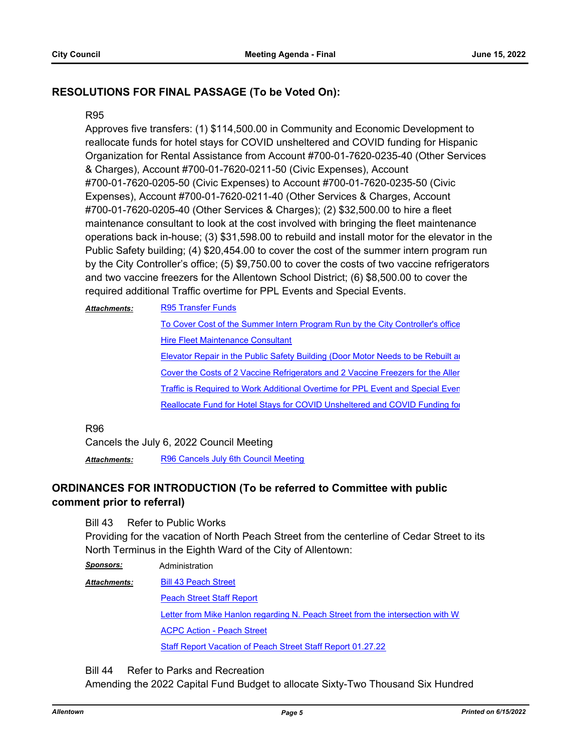## **RESOLUTIONS FOR FINAL PASSAGE (To be Voted On):**

#### R95

Approves five transfers: (1) \$114,500.00 in Community and Economic Development to reallocate funds for hotel stays for COVID unsheltered and COVID funding for Hispanic Organization for Rental Assistance from Account #700-01-7620-0235-40 (Other Services & Charges), Account #700-01-7620-0211-50 (Civic Expenses), Account #700-01-7620-0205-50 (Civic Expenses) to Account #700-01-7620-0235-50 (Civic Expenses), Account #700-01-7620-0211-40 (Other Services & Charges, Account #700-01-7620-0205-40 (Other Services & Charges); (2) \$32,500.00 to hire a fleet maintenance consultant to look at the cost involved with bringing the fleet maintenance operations back in-house; (3) \$31,598.00 to rebuild and install motor for the elevator in the Public Safety building; (4) \$20,454.00 to cover the cost of the summer intern program run by the City Controller's office; (5) \$9,750.00 to cover the costs of two vaccine refrigerators and two vaccine freezers for the Allentown School District; (6) \$8,500.00 to cover the required additional Traffic overtime for PPL Events and Special Events.

| <b>Attachments:</b> | <b>R95 Transfer Funds</b>                                                       |
|---------------------|---------------------------------------------------------------------------------|
|                     | To Cover Cost of the Summer Intern Program Run by the City Controller's office  |
|                     | <b>Hire Fleet Maintenance Consultant</b>                                        |
|                     | Elevator Repair in the Public Safety Building (Door Motor Needs to be Rebuilt a |
|                     | Cover the Costs of 2 Vaccine Refrigerators and 2 Vaccine Freezers for the Aller |
|                     | Traffic is Required to Work Additional Overtime for PPL Event and Special Even  |
|                     | Reallocate Fund for Hotel Stays for COVID Unsheltered and COVID Funding for     |
|                     |                                                                                 |

R96

Cancels the July 6, 2022 Council Meeting

Attachments: [R96 Cancels July 6th Council Meeting](http://allentownpa.legistar.com/gateway.aspx?M=F&ID=8a7add3b-8212-460a-80e0-4fcee58fcbd8.doc)

# **ORDINANCES FOR INTRODUCTION (To be referred to Committee with public comment prior to referral)**

Bill 43 Refer to Public Works

Providing for the vacation of North Peach Street from the centerline of Cedar Street to its North Terminus in the Eighth Ward of the City of Allentown:

*Sponsors:* Administration

[Bill 43 Peach Street](http://allentownpa.legistar.com/gateway.aspx?M=F&ID=5ff11231-3d36-413b-9b26-d225d5a6a999.doc) **[Peach Street Staff Report](http://allentownpa.legistar.com/gateway.aspx?M=F&ID=f59d36cd-9e22-4a27-828f-14e36a455722.doc)** Letter from Mike Hanlon regarding N. Peach Street from the intersection with W [ACPC Action - Peach Street](http://allentownpa.legistar.com/gateway.aspx?M=F&ID=8081068b-a43d-4119-90af-70e0e3e04f88.pdf) [Staff Report Vacation of Peach Street Staff Report 01.27.22](http://allentownpa.legistar.com/gateway.aspx?M=F&ID=761ef09d-58c7-4565-85da-f4aa6e74f690.pdf) *Attachments:*

Bill 44 Refer to Parks and Recreation

Amending the 2022 Capital Fund Budget to allocate Sixty-Two Thousand Six Hundred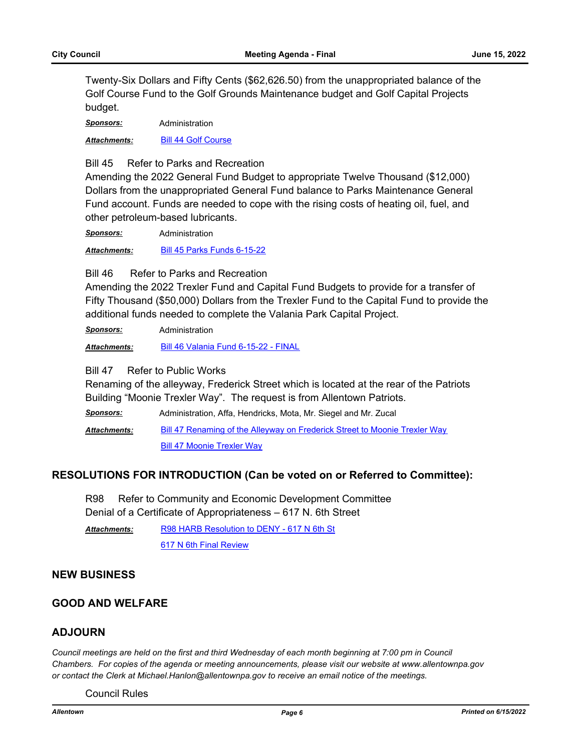Twenty-Six Dollars and Fifty Cents (\$62,626.50) from the unappropriated balance of the Golf Course Fund to the Golf Grounds Maintenance budget and Golf Capital Projects budget.

*Sponsors:* Administration

*Attachments:* [Bill 44 Golf Course](http://allentownpa.legistar.com/gateway.aspx?M=F&ID=326c8061-5726-413d-ada5-d1382ab84ebb.docx)

Bill 45 Refer to Parks and Recreation

Amending the 2022 General Fund Budget to appropriate Twelve Thousand (\$12,000) Dollars from the unappropriated General Fund balance to Parks Maintenance General Fund account. Funds are needed to cope with the rising costs of heating oil, fuel, and other petroleum-based lubricants.

*Sponsors:* Administration

*Attachments:* [Bill 45 Parks Funds 6-15-22](http://allentownpa.legistar.com/gateway.aspx?M=F&ID=9813a6bc-8e7e-4e53-b4b8-0be3f08f8f32.docx)

Bill 46 Refer to Parks and Recreation

Amending the 2022 Trexler Fund and Capital Fund Budgets to provide for a transfer of Fifty Thousand (\$50,000) Dollars from the Trexler Fund to the Capital Fund to provide the additional funds needed to complete the Valania Park Capital Project.

*Sponsors:* Administration

*Attachments:* [Bill 46 Valania Fund 6-15-22 - FINAL](http://allentownpa.legistar.com/gateway.aspx?M=F&ID=16e8c844-ee38-4444-868f-1bc5fa451ba6.docx)

Bill 47 Refer to Public Works

Renaming of the alleyway, Frederick Street which is located at the rear of the Patriots Building "Moonie Trexler Way". The request is from Allentown Patriots.

*Sponsors:* Administration, Affa, Hendricks, Mota, Mr. Siegel and Mr. Zucal [Bill 47 Renaming of the Alleyway on Frederick Street to Moonie Trexler Way](http://allentownpa.legistar.com/gateway.aspx?M=F&ID=be517d8d-ec8d-409e-bbed-096ad003f95a.doc) [Bill 47 Moonie Trexler Way](http://allentownpa.legistar.com/gateway.aspx?M=F&ID=f9e80ba6-af4c-43c0-97e2-d4c593db3195.pdf) *Attachments:*

#### **RESOLUTIONS FOR INTRODUCTION (Can be voted on or Referred to Committee):**

R98 Refer to Community and Economic Development Committee Denial of a Certificate of Appropriateness – 617 N. 6th Street

[R98 HARB Resolution to DENY - 617 N 6th St](http://allentownpa.legistar.com/gateway.aspx?M=F&ID=579f139f-2a58-473e-9cf9-25fe46f38ff1.doc) [617 N 6th Final Review](http://allentownpa.legistar.com/gateway.aspx?M=F&ID=0393260e-fb04-4fb7-b880-8404679f1488.pdf) *Attachments:*

#### **NEW BUSINESS**

## **GOOD AND WELFARE**

#### **ADJOURN**

*Council meetings are held on the first and third Wednesday of each month beginning at 7:00 pm in Council Chambers. For copies of the agenda or meeting announcements, please visit our website at www.allentownpa.gov or contact the Clerk at Michael.Hanlon@allentownpa.gov to receive an email notice of the meetings.*

Council Rules